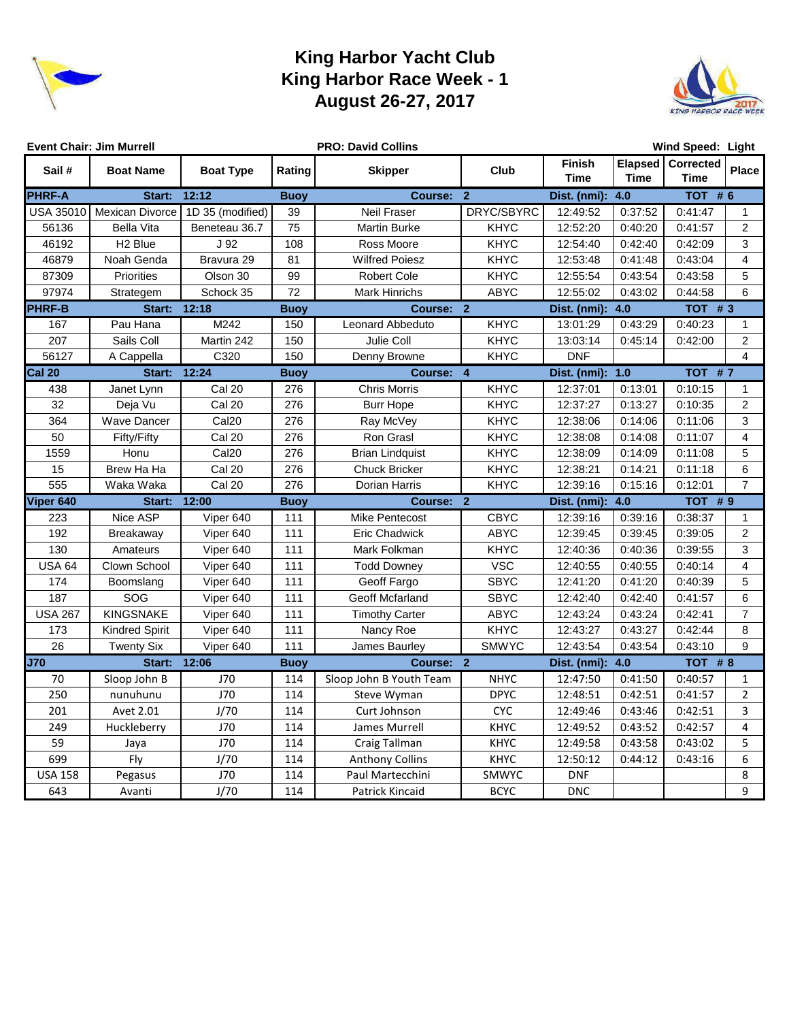

## **King Harbor Yacht Club King Harbor Race Week - 1 August 26-27, 2017**



|                  | <b>Event Chair: Jim Murrell</b> |                   |             | <b>PRO: David Collins</b> | Wind Speed: Light |                       |         |                                  |                |  |  |
|------------------|---------------------------------|-------------------|-------------|---------------------------|-------------------|-----------------------|---------|----------------------------------|----------------|--|--|
| Sail#            | <b>Boat Name</b>                | <b>Boat Type</b>  | Rating      | <b>Skipper</b>            | Club              | <b>Finish</b><br>Time | Time    | Elapsed Corrected<br><b>Time</b> | <b>Place</b>   |  |  |
| <b>PHRF-A</b>    | Start:                          | 12:12             | <b>Buoy</b> | Course:                   | $\overline{2}$    | Dist. (nmi):          | 4.0     | <b>TOT #6</b>                    |                |  |  |
| <b>USA 35010</b> | Mexican Divorce                 | 1D 35 (modified)  | 39          | Neil Fraser               | DRYC/SBYRC        | 12:49:52              | 0:37:52 | 0:41:47                          | $\mathbf{1}$   |  |  |
| 56136            | <b>Bella Vita</b>               | Beneteau 36.7     | 75          | <b>Martin Burke</b>       | <b>KHYC</b>       | 12:52:20              | 0:40:20 | 0:41:57                          | 2              |  |  |
| 46192            | H <sub>2</sub> Blue             | J 92              | 108         | Ross Moore                | <b>KHYC</b>       | 12:54:40              | 0:42:40 | 0:42:09                          | 3              |  |  |
| 46879            | Noah Genda                      | Bravura 29        | 81          | <b>Wilfred Poiesz</b>     | <b>KHYC</b>       | 12:53:48              | 0:41:48 | 0:43:04                          | $\overline{4}$ |  |  |
| 87309            | <b>Priorities</b>               | Olson 30          | 99          | <b>Robert Cole</b>        | <b>KHYC</b>       | 12:55:54              | 0:43:54 | 0:43:58                          | 5              |  |  |
| 97974            | Strategem                       | Schock 35         | 72          | <b>Mark Hinrichs</b>      | <b>ABYC</b>       | 12:55:02              | 0:43:02 | 0:44:58                          | 6              |  |  |
| <b>PHRF-B</b>    | Start: 12:18                    |                   | <b>Buoy</b> | Course: 2                 |                   | Dist. (nmi):          | 4.0     | $TOT$ # 3                        |                |  |  |
| 167              | Pau Hana                        | M242              | 150         | Leonard Abbeduto          | <b>KHYC</b>       | 13:01:29              | 0:43:29 | 0:40:23                          | 1              |  |  |
| 207              | Sails Coll                      | Martin 242        | 150         | Julie Coll                | <b>KHYC</b>       | 13:03:14              | 0:45:14 | 0:42:00                          | $\overline{2}$ |  |  |
| 56127            | A Cappella                      | C320              | 150         | Denny Browne              | <b>KHYC</b>       | <b>DNF</b>            |         |                                  | 4              |  |  |
| <b>Cal 20</b>    | Start: 12:24                    |                   | <b>Buoy</b> | <b>Course:</b>            | $\overline{4}$    | Dist. (nmi): 1.0      |         | <b>TOT #7</b>                    |                |  |  |
| 438              | Janet Lynn                      | Cal 20            | 276         | <b>Chris Morris</b>       | <b>KHYC</b>       | 12:37:01              | 0:13:01 | 0:10:15                          | $\mathbf{1}$   |  |  |
| 32               | Deja Vu                         | Cal 20            | 276         | <b>Burr Hope</b>          | <b>KHYC</b>       | 12:37:27              | 0:13:27 | 0:10:35                          | $\overline{c}$ |  |  |
| 364              | Wave Dancer                     | Cal <sub>20</sub> | 276         | Ray McVey                 | <b>KHYC</b>       | 12:38:06              | 0:14:06 | 0:11:06                          | 3              |  |  |
| 50               | Fifty/Fifty                     | Cal 20            | 276         | Ron Grasl                 | <b>KHYC</b>       | 12:38:08              | 0:14:08 | 0:11:07                          | 4              |  |  |
| 1559             | Honu                            | Cal <sub>20</sub> | 276         | <b>Brian Lindquist</b>    | <b>KHYC</b>       | 12:38:09              | 0:14:09 | 0:11:08                          | 5              |  |  |
| 15               | Brew Ha Ha                      | Cal 20            | 276         | <b>Chuck Bricker</b>      | <b>KHYC</b>       | 12:38:21              | 0:14:21 | 0:11:18                          | 6              |  |  |
| 555              | Waka Waka                       | Cal 20            | 276         | Dorian Harris             | KHYC              | 12:39:16              | 0:15:16 | 0:12:01                          | $\overline{7}$ |  |  |
| Viper 640        | Start:                          | 12:00             | <b>Buoy</b> | Course: 2                 |                   | Dist. (nmi):          | 4.0     | TOT #9                           |                |  |  |
| 223              | Nice ASP                        | Viper 640         | 111         | <b>Mike Pentecost</b>     | <b>CBYC</b>       | 12:39:16              | 0:39:16 | 0:38:37                          | $\mathbf{1}$   |  |  |
| 192              | Breakaway                       | Viper 640         | 111         | <b>Eric Chadwick</b>      | <b>ABYC</b>       | 12:39:45              | 0:39:45 | 0:39:05                          | $\overline{2}$ |  |  |
| 130              | Amateurs                        | Viper 640         | 111         | Mark Folkman              | <b>KHYC</b>       | 12:40:36              | 0:40:36 | 0:39:55                          | 3              |  |  |
| <b>USA 64</b>    | Clown School                    | Viper 640         | 111         | <b>Todd Downey</b>        | <b>VSC</b>        | 12:40:55              | 0:40:55 | 0:40:14                          | $\overline{4}$ |  |  |
| 174              | Boomslang                       | Viper 640         | 111         | Geoff Fargo               | <b>SBYC</b>       | 12:41:20              | 0:41:20 | 0:40:39                          | 5              |  |  |
| 187              | SOG                             | Viper 640         | 111         | Geoff Mcfarland           | <b>SBYC</b>       | 12:42:40              | 0:42:40 | 0:41:57                          | 6              |  |  |
| <b>USA 267</b>   | <b>KINGSNAKE</b>                | Viper 640         | 111         | <b>Timothy Carter</b>     | <b>ABYC</b>       | 12:43:24              | 0:43:24 | 0:42:41                          | $\overline{7}$ |  |  |
| 173              | <b>Kindred Spirit</b>           | Viper 640         | 111         | Nancy Roe                 | <b>KHYC</b>       | 12:43:27              | 0:43:27 | 0:42:44                          | 8              |  |  |
| 26               | <b>Twenty Six</b>               | Viper 640         | 111         | James Baurley             | <b>SMWYC</b>      | 12:43:54              | 0:43:54 | 0:43:10                          | 9              |  |  |
| <b>J70</b>       | Start:                          | 12:06             | <b>Buoy</b> | Course: 2                 |                   | Dist. (nmi): 4.0      |         | TOT #8                           |                |  |  |
| 70               | Sloop John B                    | J70               | 114         | Sloop John B Youth Team   | <b>NHYC</b>       | 12:47:50              | 0:41:50 | 0:40:57                          | 1              |  |  |
| 250              | nunuhunu                        | J70               | 114         | Steve Wyman               | <b>DPYC</b>       | 12:48:51              | 0:42:51 | 0:41:57                          | $\overline{2}$ |  |  |
| 201              | Avet 2.01                       | J/70              | 114         | Curt Johnson              | <b>CYC</b>        | 12:49:46              | 0:43:46 | 0:42:51                          | 3              |  |  |
| 249              | Huckleberry                     | J70               | 114         | James Murrell             | <b>KHYC</b>       | 12:49:52              | 0:43:52 | 0:42:57                          | 4              |  |  |
| 59               | Jaya                            | J70               | 114         | Craig Tallman             | <b>KHYC</b>       | 12:49:58              | 0:43:58 | 0:43:02                          | 5              |  |  |
| 699              | Fly                             | J/70              | 114         | <b>Anthony Collins</b>    | KHYC              | 12:50:12              | 0:44:12 | 0:43:16                          | 6              |  |  |
| <b>USA 158</b>   | Pegasus                         | J70               | 114         | Paul Martecchini          | SMWYC             | <b>DNF</b>            |         |                                  | 8              |  |  |
| 643              | Avanti                          | J/70              | 114         | Patrick Kincaid           | <b>BCYC</b>       | <b>DNC</b>            |         |                                  | 9              |  |  |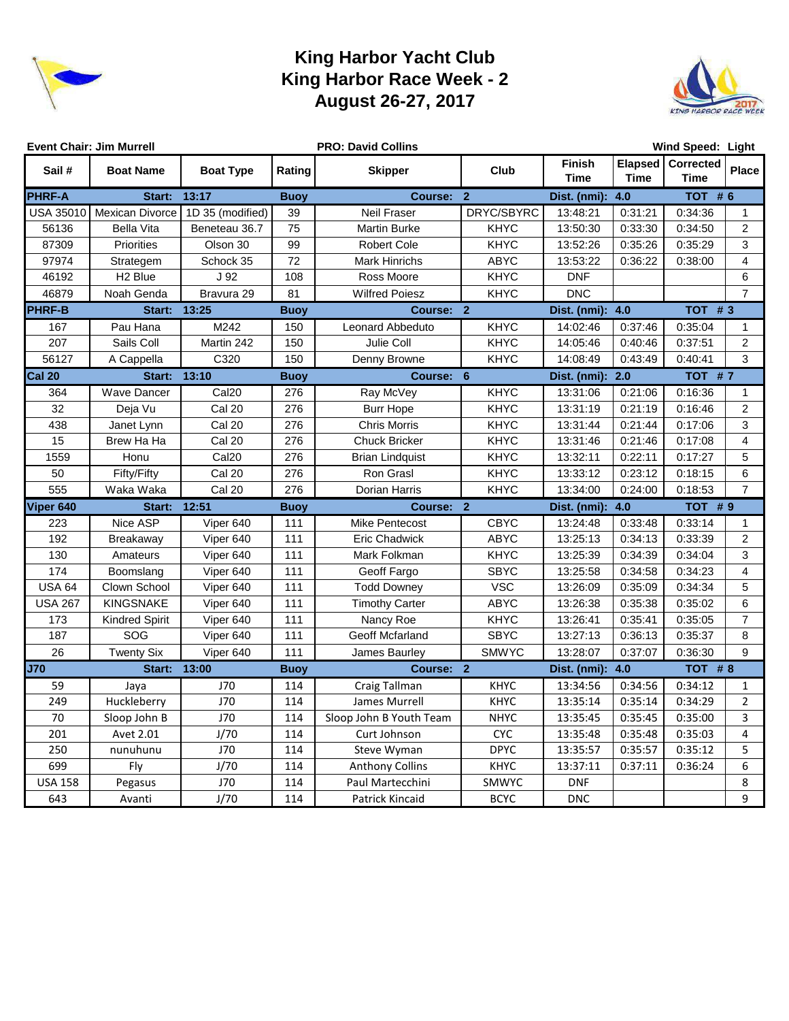

## **King Harbor Yacht Club King Harbor Race Week - 2 August 26-27, 2017**



| <b>Event Chair: Jim Murrell</b> |                       |                   |             | <b>PRO: David Collins</b> | Wind Speed: Light |                       |             |                                  |                |  |
|---------------------------------|-----------------------|-------------------|-------------|---------------------------|-------------------|-----------------------|-------------|----------------------------------|----------------|--|
| Sail#                           | <b>Boat Name</b>      | <b>Boat Type</b>  | Rating      | <b>Skipper</b>            | Club              | Finish<br><b>Time</b> | <b>Time</b> | Elapsed Corrected<br><b>Time</b> | Place          |  |
| <b>PHRF-A</b>                   | Start:                | 13:17             | <b>Buoy</b> | Course: 2                 |                   | Dist. (nmi):          | 4.0         | <b>TOT #6</b>                    |                |  |
| USA 35010                       | Mexican Divorce       | 1D 35 (modified)  | 39          | Neil Fraser               | DRYC/SBYRC        | 13:48:21              | 0:31:21     | 0:34:36                          | $\mathbf{1}$   |  |
| 56136                           | <b>Bella Vita</b>     | Beneteau 36.7     | 75          | <b>Martin Burke</b>       | <b>KHYC</b>       | 13:50:30              | 0:33:30     | 0:34:50                          | 2              |  |
| 87309                           | Priorities            | Olson 30          | 99          | <b>Robert Cole</b>        | <b>KHYC</b>       | 13:52:26              | 0:35:26     | 0:35:29                          | 3              |  |
| 97974                           | Strategem             | Schock 35         | 72          | <b>Mark Hinrichs</b>      | <b>ABYC</b>       | 13:53:22              | 0:36:22     | 0:38:00                          | 4              |  |
| 46192                           | H <sub>2</sub> Blue   | J 92              | 108         | Ross Moore                | <b>KHYC</b>       | <b>DNF</b>            |             |                                  | 6              |  |
| 46879                           | Noah Genda            | Bravura 29        | 81          | <b>Wilfred Poiesz</b>     | <b>KHYC</b>       | <b>DNC</b>            |             |                                  | $\overline{7}$ |  |
| <b>PHRF-B</b>                   | Start: 13:25          |                   | <b>Buoy</b> | Course: 2                 |                   | Dist. (nmi): 4.0      |             | $TOT$ # 3                        |                |  |
| 167                             | Pau Hana              | M242              | 150         | Leonard Abbeduto          | KHYC              | 14:02:46              | 0:37:46     | 0:35:04                          | 1              |  |
| 207                             | Sails Coll            | Martin 242        | 150         | Julie Coll                | <b>KHYC</b>       | 14:05:46              | 0:40:46     | 0:37:51                          | $\overline{2}$ |  |
| 56127                           | A Cappella            | C320              | 150         | Denny Browne              | <b>KHYC</b>       | 14:08:49              | 0:43:49     | 0:40:41                          | 3              |  |
| <b>Cal 20</b>                   | Start:                | 13:10             | <b>Buoy</b> | Course: 6                 |                   | Dist. (nmi):          | 2.0         | TOT #7                           |                |  |
| 364                             | <b>Wave Dancer</b>    | Cal <sub>20</sub> | 276         | Ray McVey                 | <b>KHYC</b>       | 13:31:06              | 0:21:06     | 0:16:36                          | $\mathbf{1}$   |  |
| 32                              | Deja Vu               | Cal 20            | 276         | <b>Burr Hope</b>          | <b>KHYC</b>       | 13:31:19              | 0:21:19     | 0:16:46                          | $\overline{2}$ |  |
| 438                             | Janet Lynn            | Cal 20            | 276         | <b>Chris Morris</b>       | <b>KHYC</b>       | 13:31:44              | 0:21:44     | 0:17:06                          | 3              |  |
| 15                              | Brew Ha Ha            | Cal 20            | 276         | <b>Chuck Bricker</b>      | <b>KHYC</b>       | 13:31:46              | 0:21:46     | 0:17:08                          | $\overline{4}$ |  |
| 1559                            | Honu                  | Cal <sub>20</sub> | 276         | <b>Brian Lindquist</b>    | <b>KHYC</b>       | 13:32:11              | 0:22:11     | 0:17:27                          | 5              |  |
| 50                              | Fifty/Fifty           | Cal 20            | 276         | Ron Grasl                 | <b>KHYC</b>       | 13:33:12              | 0:23:12     | 0:18:15                          | 6              |  |
| 555                             | Waka Waka             | Cal 20            | 276         | Dorian Harris             | <b>KHYC</b>       | 13:34:00              | 0:24:00     | 0:18:53                          | $\overline{7}$ |  |
| Viper 640                       | Start:                | 12:51             | <b>Buoy</b> | Course: 2                 |                   | Dist. (nmi):          | 4.0         | TOT #9                           |                |  |
| 223                             | Nice ASP              | Viper 640         | 111         | <b>Mike Pentecost</b>     | <b>CBYC</b>       | 13:24:48              | 0:33:48     | 0:33:14                          | 1              |  |
| 192                             | Breakaway             | Viper 640         | 111         | <b>Eric Chadwick</b>      | <b>ABYC</b>       | 13:25:13              | 0:34:13     | 0:33:39                          | $\overline{2}$ |  |
| 130                             | Amateurs              | Viper 640         | 111         | Mark Folkman              | <b>KHYC</b>       | 13:25:39              | 0:34:39     | 0:34:04                          | 3              |  |
| 174                             | Boomslang             | Viper 640         | 111         | Geoff Fargo               | <b>SBYC</b>       | 13:25:58              | 0:34:58     | 0:34:23                          | $\overline{4}$ |  |
| <b>USA 64</b>                   | Clown School          | Viper 640         | 111         | <b>Todd Downey</b>        | <b>VSC</b>        | 13:26:09              | 0:35:09     | 0:34:34                          | 5              |  |
| <b>USA 267</b>                  | <b>KINGSNAKE</b>      | Viper 640         | 111         | <b>Timothy Carter</b>     | <b>ABYC</b>       | 13:26:38              | 0:35:38     | 0:35:02                          | 6              |  |
| 173                             | <b>Kindred Spirit</b> | Viper 640         | 111         | Nancy Roe                 | <b>KHYC</b>       | 13:26:41              | 0:35:41     | 0:35:05                          | $\overline{7}$ |  |
| 187                             | SOG                   | Viper 640         | 111         | Geoff Mcfarland           | <b>SBYC</b>       | 13:27:13              | 0:36:13     | 0:35:37                          | 8              |  |
| 26                              | <b>Twenty Six</b>     | Viper 640         | 111         | James Baurley             | <b>SMWYC</b>      | 13:28:07              | 0:37:07     | 0:36:30                          | 9              |  |
| <b>J70</b>                      | Start:                | 13:00             | <b>Buoy</b> | Course: 2                 |                   | Dist. (nmi):          | 4.0         | TOT #8                           |                |  |
| 59                              | Jaya                  | J70               | 114         | Craig Tallman             | <b>KHYC</b>       | 13:34:56              | 0:34:56     | 0:34:12                          | $\mathbf{1}$   |  |
| 249                             | Huckleberry           | J70               | 114         | James Murrell             | <b>KHYC</b>       | 13:35:14              | 0:35:14     | 0:34:29                          | $\overline{2}$ |  |
| 70                              | Sloop John B          | J70               | 114         | Sloop John B Youth Team   | <b>NHYC</b>       | 13:35:45              | 0:35:45     | 0:35:00                          | 3              |  |
| 201                             | Avet 2.01             | J/70              | 114         | Curt Johnson              | <b>CYC</b>        | 13:35:48              | 0:35:48     | 0:35:03                          | 4              |  |
| 250                             | nunuhunu              | J70               | 114         | Steve Wyman               | <b>DPYC</b>       | 13:35:57              | 0:35:57     | 0:35:12                          | 5              |  |
| 699                             | Fly                   | J/70              | 114         | <b>Anthony Collins</b>    | KHYC              | 13:37:11              | 0:37:11     | 0:36:24                          | 6              |  |
| <b>USA 158</b>                  | Pegasus               | J70               | 114         | Paul Martecchini          | SMWYC             | <b>DNF</b>            |             |                                  | 8              |  |
| 643                             | Avanti                | J/70              | 114         | Patrick Kincaid           | <b>BCYC</b>       | <b>DNC</b>            |             |                                  | 9              |  |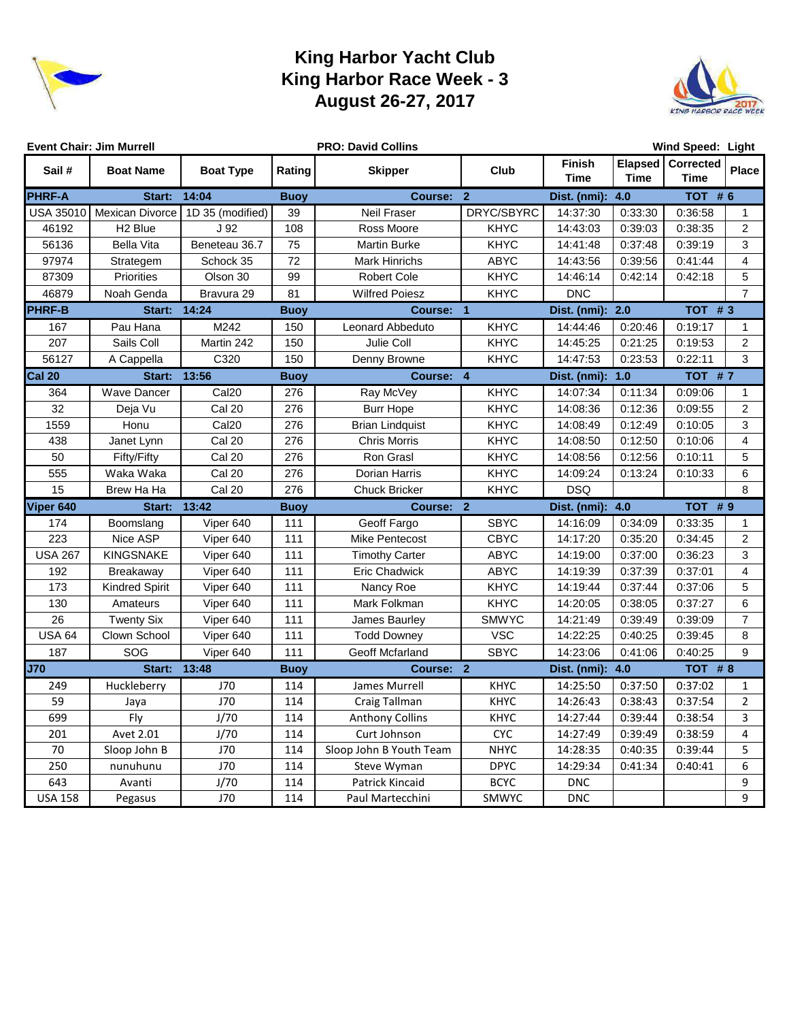

## **King Harbor Yacht Club King Harbor Race Week - 3 August 26-27, 2017**



|                | <b>Event Chair: Jim Murrell</b> |                   |             | <b>PRO: David Collins</b> | Wind Speed: Light |                       |             |                                  |                |  |  |
|----------------|---------------------------------|-------------------|-------------|---------------------------|-------------------|-----------------------|-------------|----------------------------------|----------------|--|--|
| Sail#          | <b>Boat Name</b>                | <b>Boat Type</b>  | Rating      | <b>Skipper</b>            | Club              | Finish<br><b>Time</b> | <b>Time</b> | Elapsed Corrected<br><b>Time</b> | <b>Place</b>   |  |  |
| <b>PHRF-A</b>  | Start:                          | 14:04             | <b>Buoy</b> | Course: 2                 |                   | Dist. (nmi):          | 4.0         | TOT $# 6$                        |                |  |  |
| USA 35010      | <b>Mexican Divorce</b>          | 1D 35 (modified)  | 39          | Neil Fraser               | DRYC/SBYRC        | 14:37:30              | 0:33:30     | 0:36:58                          | $\mathbf{1}$   |  |  |
| 46192          | H <sub>2</sub> Blue             | J <sub>92</sub>   | 108         | Ross Moore                | <b>KHYC</b>       | 14:43:03              | 0:39:03     | 0:38:35                          | 2              |  |  |
| 56136          | <b>Bella Vita</b>               | Beneteau 36.7     | 75          | <b>Martin Burke</b>       | <b>KHYC</b>       | 14:41:48              | 0:37:48     | 0:39:19                          | 3              |  |  |
| 97974          | Strategem                       | Schock 35         | 72          | <b>Mark Hinrichs</b>      | <b>ABYC</b>       | 14:43:56              | 0:39:56     | 0:41:44                          | 4              |  |  |
| 87309          | Priorities                      | Olson 30          | 99          | <b>Robert Cole</b>        | <b>KHYC</b>       | 14:46:14              | 0:42:14     | 0:42:18                          | 5              |  |  |
| 46879          | Noah Genda                      | Bravura 29        | 81          | <b>Wilfred Poiesz</b>     | <b>KHYC</b>       | <b>DNC</b>            |             |                                  | $\overline{7}$ |  |  |
| <b>PHRF-B</b>  | Start:                          | 14:24             | <b>Buoy</b> | Course: 1                 |                   | Dist. (nmi): 2.0      |             | $TOT$ # 3                        |                |  |  |
| 167            | Pau Hana                        | M242              | 150         | Leonard Abbeduto          | <b>KHYC</b>       | 14:44:46              | 0:20:46     | 0:19:17                          | 1              |  |  |
| 207            | Sails Coll                      | Martin 242        | 150         | Julie Coll                | <b>KHYC</b>       | 14:45:25              | 0:21:25     | 0:19:53                          | 2              |  |  |
| 56127          | A Cappella                      | C320              | 150         | Denny Browne              | <b>KHYC</b>       | 14:47:53              | 0:23:53     | 0:22:11                          | 3              |  |  |
| <b>Cal 20</b>  | Start:                          | 13:56             | <b>Buoy</b> | Course: 4                 |                   | Dist. (nmi):          | 1.0         | TOT #7                           |                |  |  |
| 364            | <b>Wave Dancer</b>              | Cal <sub>20</sub> | 276         | Ray McVey                 | <b>KHYC</b>       | 14:07:34              | 0:11:34     | 0:09:06                          | $\mathbf{1}$   |  |  |
| 32             | Deja Vu                         | Cal 20            | 276         | <b>Burr Hope</b>          | <b>KHYC</b>       | 14:08:36              | 0:12:36     | 0:09:55                          | $\overline{2}$ |  |  |
| 1559           | Honu                            | Cal <sub>20</sub> | 276         | <b>Brian Lindquist</b>    | <b>KHYC</b>       | 14:08:49              | 0:12:49     | 0:10:05                          | 3              |  |  |
| 438            | Janet Lynn                      | Cal 20            | 276         | <b>Chris Morris</b>       | <b>KHYC</b>       | 14:08:50              | 0:12:50     | 0:10:06                          | 4              |  |  |
| 50             | <b>Fifty/Fifty</b>              | Cal 20            | 276         | Ron Grasl                 | <b>KHYC</b>       | 14:08:56              | 0:12:56     | 0:10:11                          | $\overline{5}$ |  |  |
| 555            | Waka Waka                       | Cal 20            | 276         | Dorian Harris             | <b>KHYC</b>       | 14:09:24              | 0:13:24     | 0:10:33                          | 6              |  |  |
| 15             | Brew Ha Ha                      | Cal 20            | 276         | <b>Chuck Bricker</b>      | KHYC              | <b>DSQ</b>            |             |                                  | 8              |  |  |
| Viper 640      | Start:                          | 13:42             | <b>Buoy</b> | Course: 2                 |                   | Dist. (nmi): 4.0      |             | <b>TOT #9</b>                    |                |  |  |
| 174            | Boomslang                       | Viper 640         | 111         | Geoff Fargo               | <b>SBYC</b>       | 14:16:09              | 0:34:09     | 0:33:35                          | 1              |  |  |
| 223            | Nice ASP                        | Viper 640         | 111         | <b>Mike Pentecost</b>     | <b>CBYC</b>       | 14:17:20              | 0:35:20     | 0:34:45                          | $\overline{2}$ |  |  |
| <b>USA 267</b> | <b>KINGSNAKE</b>                | Viper 640         | 111         | <b>Timothy Carter</b>     | <b>ABYC</b>       | 14:19:00              | 0:37:00     | 0:36:23                          | 3              |  |  |
| 192            | Breakaway                       | Viper 640         | 111         | <b>Eric Chadwick</b>      | ABYC              | 14:19:39              | 0:37:39     | 0:37:01                          | $\overline{4}$ |  |  |
| 173            | <b>Kindred Spirit</b>           | Viper 640         | 111         | Nancy Roe                 | <b>KHYC</b>       | 14:19:44              | 0:37:44     | 0:37:06                          | 5              |  |  |
| 130            | Amateurs                        | Viper 640         | 111         | Mark Folkman              | <b>KHYC</b>       | 14:20:05              | 0:38:05     | 0:37:27                          | 6              |  |  |
| 26             | <b>Twenty Six</b>               | Viper 640         | 111         | James Baurley             | <b>SMWYC</b>      | 14:21:49              | 0:39:49     | 0:39:09                          | $\overline{7}$ |  |  |
| <b>USA 64</b>  | Clown School                    | Viper 640         | 111         | <b>Todd Downey</b>        | <b>VSC</b>        | 14:22:25              | 0:40:25     | 0:39:45                          | 8              |  |  |
| 187            | SOG                             | Viper 640         | 111         | Geoff Mcfarland           | <b>SBYC</b>       | 14:23:06              | 0:41:06     | 0:40:25                          | 9              |  |  |
| <b>J70</b>     | Start:                          | 13:48             | <b>Buoy</b> | Course: 2                 |                   | Dist. (nmi):          | 4.0         | TOT #8                           |                |  |  |
| 249            | Huckleberry                     | J70               | 114         | James Murrell             | <b>KHYC</b>       | 14:25:50              | 0:37:50     | 0:37:02                          | 1              |  |  |
| 59             | Jaya                            | J70               | 114         | Craig Tallman             | <b>KHYC</b>       | 14:26:43              | 0:38:43     | 0:37:54                          | $\overline{2}$ |  |  |
| 699            | Fly                             | J/70              | 114         | <b>Anthony Collins</b>    | <b>KHYC</b>       | 14:27:44              | 0:39:44     | 0:38:54                          | 3              |  |  |
| 201            | Avet 2.01                       | J/70              | 114         | Curt Johnson              | <b>CYC</b>        | 14:27:49              | 0:39:49     | 0:38:59                          | 4              |  |  |
| 70             | Sloop John B                    | J70               | 114         | Sloop John B Youth Team   | <b>NHYC</b>       | 14:28:35              | 0:40:35     | 0:39:44                          | 5              |  |  |
| 250            | nunuhunu                        | J70               | 114         | Steve Wyman               | <b>DPYC</b>       | 14:29:34              | 0:41:34     | 0:40:41                          | 6              |  |  |
| 643            | Avanti                          | J/70              | 114         | <b>Patrick Kincaid</b>    | <b>BCYC</b>       | <b>DNC</b>            |             |                                  | 9              |  |  |
| <b>USA 158</b> | Pegasus                         | J70               | 114         | Paul Martecchini          | SMWYC             | <b>DNC</b>            |             |                                  | 9              |  |  |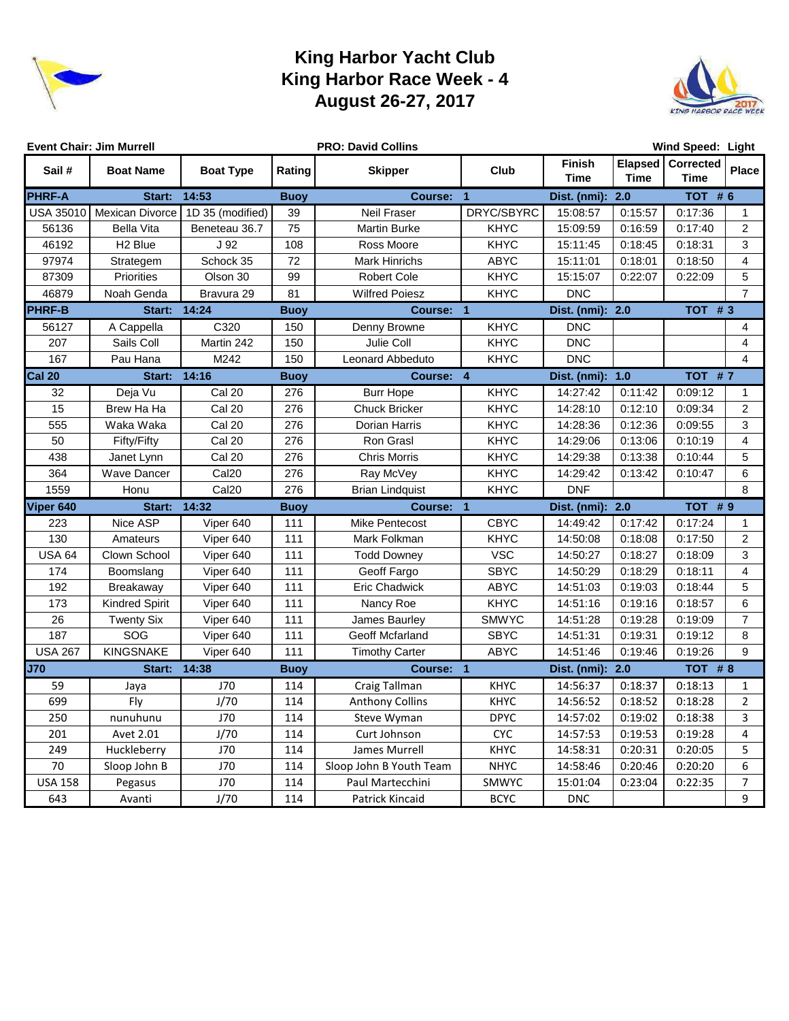

## **King Harbor Yacht Club King Harbor Race Week - 4 August 26-27, 2017**



| <b>Event Chair: Jim Murrell</b> |                       |                   |             | <b>PRO: David Collins</b> | Wind Speed: Light |                       |             |                                  |                |  |  |
|---------------------------------|-----------------------|-------------------|-------------|---------------------------|-------------------|-----------------------|-------------|----------------------------------|----------------|--|--|
| Sail #                          | <b>Boat Name</b>      | <b>Boat Type</b>  | Rating      | <b>Skipper</b>            | Club              | Finish<br><b>Time</b> | <b>Time</b> | Elapsed Corrected<br><b>Time</b> | <b>Place</b>   |  |  |
| <b>PHRF-A</b>                   | Start:                | 14:53             | <b>Buoy</b> | Course:                   | $\overline{1}$    | Dist. (nmi):          | 2.0         | TOT $# 6$                        |                |  |  |
| <b>USA 35010</b>                | Mexican Divorce       | 1D 35 (modified)  | 39          | Neil Fraser               | DRYC/SBYRC        | 15:08:57              | 0:15:57     | 0:17:36                          | $\mathbf{1}$   |  |  |
| 56136                           | <b>Bella Vita</b>     | Beneteau 36.7     | 75          | <b>Martin Burke</b>       | <b>KHYC</b>       | 15:09:59              | 0:16:59     | 0:17:40                          | 2              |  |  |
| 46192                           | H <sub>2</sub> Blue   | J <sub>92</sub>   | 108         | Ross Moore                | <b>KHYC</b>       | 15:11:45              | 0:18:45     | 0:18:31                          | 3              |  |  |
| 97974                           | Strategem             | Schock 35         | 72          | <b>Mark Hinrichs</b>      | <b>ABYC</b>       | 15:11:01              | 0:18:01     | 0:18:50                          | 4              |  |  |
| 87309                           | <b>Priorities</b>     | Olson 30          | 99          | <b>Robert Cole</b>        | <b>KHYC</b>       | 15:15:07              | 0:22:07     | 0:22:09                          | 5              |  |  |
| 46879                           | Noah Genda            | Bravura 29        | 81          | <b>Wilfred Poiesz</b>     | <b>KHYC</b>       | <b>DNC</b>            |             |                                  | $\overline{7}$ |  |  |
| <b>PHRF-B</b>                   | Start:                | 14:24             | <b>Buoy</b> | Course: 1                 |                   | Dist. (nmi): 2.0      |             |                                  | TOT $#3$       |  |  |
| 56127                           | A Cappella            | C320              | 150         | Denny Browne              | KHYC              | <b>DNC</b>            |             |                                  | 4              |  |  |
| 207                             | Sails Coll            | Martin 242        | 150         | Julie Coll                | <b>KHYC</b>       | <b>DNC</b>            |             |                                  | $\overline{4}$ |  |  |
| 167                             | Pau Hana              | M242              | 150         | Leonard Abbeduto          | <b>KHYC</b>       | <b>DNC</b>            |             |                                  | 4              |  |  |
| <b>Cal 20</b>                   | Start: 14:16          |                   | <b>Buoy</b> | Course: 4                 |                   | Dist. (nmi): 1.0      |             | TOT #7                           |                |  |  |
| 32                              | Deja Vu               | Cal 20            | 276         | <b>Burr Hope</b>          | <b>KHYC</b>       | 14:27:42              | 0:11:42     | 0:09:12                          | $\mathbf 1$    |  |  |
| 15                              | Brew Ha Ha            | Cal 20            | 276         | <b>Chuck Bricker</b>      | <b>KHYC</b>       | 14:28:10              | 0:12:10     | 0:09:34                          | $\overline{2}$ |  |  |
| 555                             | Waka Waka             | Cal 20            | 276         | Dorian Harris             | <b>KHYC</b>       | 14:28:36              | 0:12:36     | 0:09:55                          | 3              |  |  |
| 50                              | Fifty/Fifty           | Cal 20            | 276         | Ron Grasl                 | <b>KHYC</b>       | 14:29:06              | 0:13:06     | 0:10:19                          | $\overline{4}$ |  |  |
| 438                             | Janet Lynn            | Cal 20            | 276         | <b>Chris Morris</b>       | <b>KHYC</b>       | 14:29:38              | 0:13:38     | 0:10:44                          | 5              |  |  |
| 364                             | Wave Dancer           | Cal <sub>20</sub> | 276         | Ray McVey                 | <b>KHYC</b>       | 14:29:42              | 0:13:42     | 0:10:47                          | 6              |  |  |
| 1559                            | Honu                  | Cal <sub>20</sub> | 276         | <b>Brian Lindquist</b>    | <b>KHYC</b>       | <b>DNF</b>            |             |                                  | 8              |  |  |
| Viper 640                       | Start:                | 14:32             | <b>Buoy</b> | Course: 1                 |                   | Dist. (nmi): 2.0      |             | TOT #9                           |                |  |  |
| 223                             | Nice ASP              | Viper 640         | 111         | <b>Mike Pentecost</b>     | <b>CBYC</b>       | 14:49:42              | 0:17:42     | 0:17:24                          | 1              |  |  |
| 130                             | Amateurs              | Viper 640         | 111         | Mark Folkman              | <b>KHYC</b>       | 14:50:08              | 0:18:08     | 0:17:50                          | 2              |  |  |
| <b>USA 64</b>                   | Clown School          | Viper 640         | 111         | <b>Todd Downey</b>        | <b>VSC</b>        | 14:50:27              | 0:18:27     | 0:18:09                          | 3              |  |  |
| 174                             | Boomslang             | Viper 640         | 111         | Geoff Fargo               | <b>SBYC</b>       | 14:50:29              | 0:18:29     | 0:18:11                          | $\overline{4}$ |  |  |
| 192                             | Breakaway             | Viper 640         | 111         | <b>Eric Chadwick</b>      | <b>ABYC</b>       | 14:51:03              | 0:19:03     | 0:18:44                          | 5              |  |  |
| 173                             | <b>Kindred Spirit</b> | Viper 640         | 111         | Nancy Roe                 | <b>KHYC</b>       | 14:51:16              | 0:19:16     | 0:18:57                          | 6              |  |  |
| 26                              | <b>Twenty Six</b>     | Viper 640         | 111         | James Baurley             | <b>SMWYC</b>      | 14:51:28              | 0:19:28     | 0:19:09                          | $\overline{7}$ |  |  |
| 187                             | SOG                   | Viper 640         | 111         | Geoff Mcfarland           | <b>SBYC</b>       | 14:51:31              | 0:19:31     | 0:19:12                          | 8              |  |  |
| <b>USA 267</b>                  | <b>KINGSNAKE</b>      | Viper 640         | 111         | <b>Timothy Carter</b>     | ABYC              | 14:51:46              | 0:19:46     | 0:19:26                          | 9              |  |  |
| <b>J70</b>                      | Start:                | 14:38             | <b>Buoy</b> | Course: 1                 |                   | Dist. (nmi):          | 2.0         | TOT $# 8$                        |                |  |  |
| 59                              | Jaya                  | J70               | 114         | Craig Tallman             | <b>KHYC</b>       | 14:56:37              | 0:18:37     | 0:18:13                          | $\mathbf{1}$   |  |  |
| 699                             | Fly                   | J/70              | 114         | <b>Anthony Collins</b>    | <b>KHYC</b>       | 14:56:52              | 0:18:52     | 0:18:28                          | $\overline{2}$ |  |  |
| 250                             | nunuhunu              | J70               | 114         | Steve Wyman               | <b>DPYC</b>       | 14:57:02              | 0:19:02     | 0:18:38                          | 3              |  |  |
| 201                             | Avet 2.01             | J/70              | 114         | Curt Johnson              | <b>CYC</b>        | 14:57:53              | 0:19:53     | 0:19:28                          | 4              |  |  |
| 249                             | Huckleberry           | J70               | 114         | James Murrell             | KHYC              | 14:58:31              | 0:20:31     | 0:20:05                          | 5              |  |  |
| 70                              | Sloop John B          | J70               | 114         | Sloop John B Youth Team   | <b>NHYC</b>       | 14:58:46              | 0:20:46     | 0:20:20                          | 6              |  |  |
| <b>USA 158</b>                  | Pegasus               | J70               | 114         | Paul Martecchini          | SMWYC             | 15:01:04              | 0:23:04     | 0:22:35                          | $\overline{7}$ |  |  |
| 643                             | Avanti                | J/70              | 114         | Patrick Kincaid           | <b>BCYC</b>       | <b>DNC</b>            |             |                                  | 9              |  |  |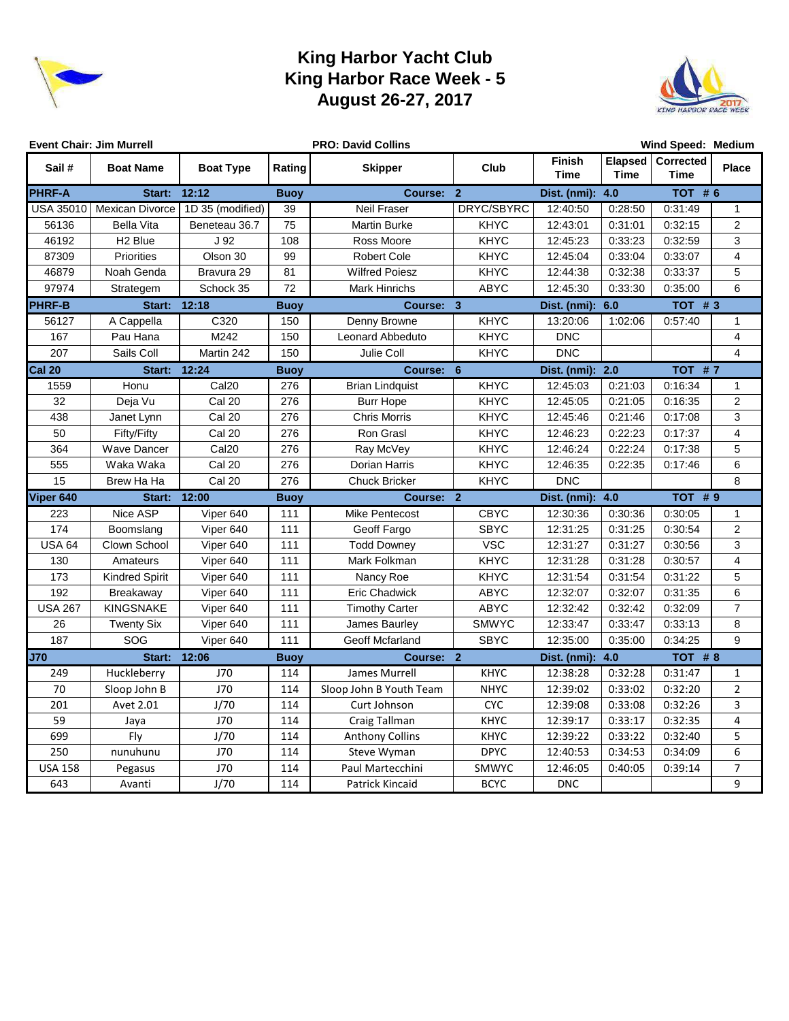

### **King Harbor Yacht Club King Harbor Race Week - 5 August 26-27, 2017**



|                  | <b>Event Chair: Jim Murrell</b> |                   |             | Wind Speed: Medium<br><b>PRO: David Collins</b> |              |                                      |         |                                  |                           |  |
|------------------|---------------------------------|-------------------|-------------|-------------------------------------------------|--------------|--------------------------------------|---------|----------------------------------|---------------------------|--|
| Sail#            | <b>Boat Name</b>                | <b>Boat Type</b>  | Rating      | <b>Skipper</b>                                  | <b>Club</b>  | <b>Finish</b><br><b>Time</b><br>Time |         | Elapsed Corrected<br><b>Time</b> | <b>Place</b>              |  |
| <b>PHRF-A</b>    | Start:                          | 12:12             | <b>Buoy</b> | Course: 2                                       |              | Dist. (nmi):                         | 4.0     | TOT #6                           |                           |  |
| <b>USA 35010</b> | <b>Mexican Divorce</b>          | 1D 35 (modified)  | 39          | Neil Fraser                                     | DRYC/SBYRC   | 12:40:50                             | 0:28:50 | 0:31:49                          | $\mathbf{1}$              |  |
| 56136            | <b>Bella Vita</b>               | Beneteau 36.7     | 75          | <b>Martin Burke</b>                             | <b>KHYC</b>  | 12:43:01                             | 0:31:01 | 0:32:15                          | 2                         |  |
| 46192            | H <sub>2</sub> Blue             | J 92              | 108         | Ross Moore                                      | <b>KHYC</b>  | 12:45:23                             | 0:33:23 | 0:32:59                          | 3                         |  |
| 87309            | <b>Priorities</b>               | Olson 30          | 99          | <b>Robert Cole</b>                              | <b>KHYC</b>  | 12:45:04                             | 0:33:04 | 0:33:07                          | $\overline{4}$            |  |
| 46879            | Noah Genda                      | Bravura 29        | 81          | <b>Wilfred Poiesz</b>                           | <b>KHYC</b>  | 12:44:38                             | 0:32:38 | 0:33:37                          | 5                         |  |
| 97974            | Strategem                       | Schock 35         | 72          | <b>Mark Hinrichs</b>                            | <b>ABYC</b>  | 12:45:30                             | 0:33:30 | 0:35:00                          | 6                         |  |
| <b>PHRF-B</b>    | Start: 12:18                    |                   | <b>Buoy</b> | Course: 3                                       |              | Dist. (nmi):                         | 6.0     | <b>TOT #3</b>                    |                           |  |
| 56127            | A Cappella                      | C320              | 150         | Denny Browne                                    | KHYC         | 13:20:06                             | 1:02:06 | 0:57:40                          | 1                         |  |
| 167              | Pau Hana                        | M242              | 150         | Leonard Abbeduto                                | <b>KHYC</b>  | <b>DNC</b>                           |         |                                  | $\overline{4}$            |  |
| 207              | Sails Coll                      | Martin 242        | 150         | Julie Coll                                      | <b>KHYC</b>  | <b>DNC</b>                           |         |                                  | $\overline{4}$            |  |
| <b>Cal 20</b>    | Start:                          | 12:24             | <b>Buoy</b> | Course: 6                                       |              | Dist. (nmi):                         | 2.0     | <b>TOT #7</b>                    |                           |  |
| 1559             | Honu                            | Cal <sub>20</sub> | 276         | <b>Brian Lindquist</b>                          | KHYC         | 12:45:03                             | 0:21:03 | 0:16:34                          | $\mathbf{1}$              |  |
| 32               | Deja Vu                         | Cal 20            | 276         | <b>Burr Hope</b>                                | <b>KHYC</b>  | 12:45:05                             | 0:21:05 | 0:16:35                          | $\overline{c}$            |  |
| 438              | Janet Lynn                      | Cal 20            | 276         | <b>Chris Morris</b>                             | <b>KHYC</b>  | 12:45:46                             | 0:21:46 | 0:17:08                          | $\ensuremath{\mathsf{3}}$ |  |
| 50               | Fifty/Fifty                     | Cal 20            | 276         | Ron Grasl                                       | <b>KHYC</b>  | 12:46:23                             | 0:22:23 | 0:17:37                          | $\overline{4}$            |  |
| 364              | Wave Dancer                     | Cal <sub>20</sub> | 276         | Ray McVey                                       | <b>KHYC</b>  | 12:46:24                             | 0:22:24 | 0:17:38                          | 5                         |  |
| 555              | Waka Waka                       | Cal 20            | 276         | Dorian Harris                                   | <b>KHYC</b>  | 12:46:35                             | 0:22:35 | 0:17:46                          | 6                         |  |
| 15               | Brew Ha Ha                      | Cal 20            | 276         | <b>Chuck Bricker</b>                            | <b>KHYC</b>  | <b>DNC</b>                           |         |                                  | 8                         |  |
| Viper 640        | Start:                          | 12:00             | <b>Buoy</b> | Course: 2                                       |              | Dist. (nmi):                         | 4.0     | <b>TOT #9</b>                    |                           |  |
| 223              | Nice ASP                        | Viper 640         | 111         | Mike Pentecost                                  | <b>CBYC</b>  | 12:30:36                             | 0:30:36 | 0:30:05                          | $\mathbf{1}$              |  |
| 174              | Boomslang                       | Viper 640         | 111         | Geoff Fargo                                     | <b>SBYC</b>  | 12:31:25                             | 0:31:25 | 0:30:54                          | $\overline{c}$            |  |
| <b>USA 64</b>    | Clown School                    | Viper 640         | 111         | <b>Todd Downey</b>                              | <b>VSC</b>   | 12:31:27                             | 0:31:27 | 0:30:56                          | 3                         |  |
| 130              | Amateurs                        | Viper 640         | 111         | Mark Folkman                                    | <b>KHYC</b>  | 12:31:28                             | 0:31:28 | 0:30:57                          | $\overline{4}$            |  |
| 173              | <b>Kindred Spirit</b>           | Viper 640         | 111         | Nancy Roe                                       | <b>KHYC</b>  | 12:31:54                             | 0:31:54 | 0:31:22                          | 5                         |  |
| 192              | Breakaway                       | Viper 640         | 111         | <b>Eric Chadwick</b>                            | <b>ABYC</b>  | 12:32:07                             | 0:32:07 | 0:31:35                          | 6                         |  |
| <b>USA 267</b>   | <b>KINGSNAKE</b>                | Viper 640         | 111         | <b>Timothy Carter</b>                           | <b>ABYC</b>  | 12:32:42                             | 0:32:42 | 0:32:09                          | $\overline{7}$            |  |
| 26               | <b>Twenty Six</b>               | Viper 640         | 111         | James Baurley                                   | <b>SMWYC</b> | 12:33:47                             | 0:33:47 | 0:33:13                          | 8                         |  |
| 187              | SOG                             | Viper 640         | 111         | Geoff Mcfarland                                 | <b>SBYC</b>  | 12:35:00                             | 0:35:00 | 0:34:25                          | 9                         |  |
| <b>J70</b>       | Start: 12:06                    |                   | <b>Buoy</b> | Course: 2                                       |              | Dist. (nmi):                         | 4.0     | TOT #8                           |                           |  |
| 249              | Huckleberry                     | J70               | 114         | James Murrell                                   | <b>KHYC</b>  | 12:38:28                             | 0:32:28 | 0:31:47                          | $\mathbf{1}$              |  |
| 70               | Sloop John B                    | J70               | 114         | Sloop John B Youth Team                         | <b>NHYC</b>  | 12:39:02                             | 0:33:02 | 0:32:20                          | $\overline{2}$            |  |
| 201              | Avet 2.01                       | J/70              | 114         | Curt Johnson                                    | <b>CYC</b>   | 12:39:08                             | 0:33:08 | 0:32:26                          | 3                         |  |
| 59               | Jaya                            | J70               | 114         | Craig Tallman                                   | <b>KHYC</b>  | 12:39:17                             | 0:33:17 | 0:32:35                          | 4                         |  |
| 699              | Fly                             | J/70              | 114         | <b>Anthony Collins</b>                          | <b>KHYC</b>  | 12:39:22                             | 0:33:22 | 0:32:40                          | 5                         |  |
| 250              | nunuhunu                        | J70               | 114         | Steve Wyman                                     | <b>DPYC</b>  | 12:40:53                             | 0:34:53 | 0:34:09                          | 6                         |  |
| <b>USA 158</b>   | Pegasus                         | J70               | 114         | Paul Martecchini                                | SMWYC        | 12:46:05                             | 0:40:05 | 0:39:14                          | $\overline{7}$            |  |
| 643              | Avanti                          | J/70              | 114         | Patrick Kincaid                                 | <b>BCYC</b>  | <b>DNC</b>                           |         |                                  | 9                         |  |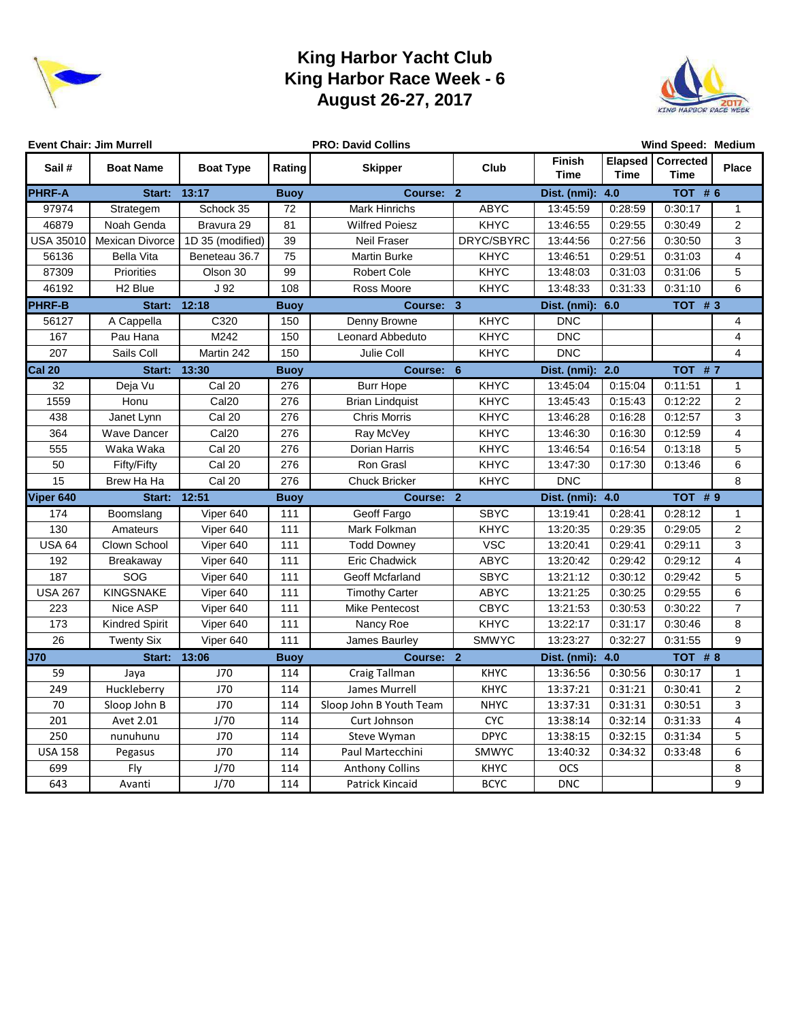

### **King Harbor Yacht Club King Harbor Race Week - 6 August 26-27, 2017**



|                  | <b>Event Chair: Jim Murrell</b> | <b>PRO: David Collins</b> |             |                         |              |                                      | Wind Speed: Medium |                             |                         |  |  |  |
|------------------|---------------------------------|---------------------------|-------------|-------------------------|--------------|--------------------------------------|--------------------|-----------------------------|-------------------------|--|--|--|
| Sail#            | <b>Boat Name</b>                | <b>Boat Type</b>          | Rating      | <b>Skipper</b>          | <b>Club</b>  | <b>Finish</b><br><b>Time</b><br>Time |                    | Elapsed   Corrected<br>Time | <b>Place</b>            |  |  |  |
| <b>PHRF-A</b>    | Start:                          | 13:17                     | <b>Buoy</b> | Course: 2               |              | 4.0<br>Dist. (nmi):                  |                    | TOT #6                      |                         |  |  |  |
| 97974            | Strategem                       | Schock 35                 | 72          | Mark Hinrichs           | ABYC         | 13:45:59                             | 0:28:59            | 0:30:17                     | $\mathbf{1}$            |  |  |  |
| 46879            | Noah Genda                      | Bravura 29                | 81          | <b>Wilfred Poiesz</b>   | <b>KHYC</b>  | 13:46:55                             | 0:29:55            | 0:30:49                     | $\overline{2}$          |  |  |  |
| <b>USA 35010</b> | Mexican Divorce                 | 1D 35 (modified)          | 39          | <b>Neil Fraser</b>      | DRYC/SBYRC   | 13:44:56                             | 0:27:56            | 0:30:50                     | $\mathsf 3$             |  |  |  |
| 56136            | <b>Bella Vita</b>               | Beneteau 36.7             | 75          | <b>Martin Burke</b>     | <b>KHYC</b>  | 13:46:51                             | 0:29:51            | 0:31:03                     | $\overline{4}$          |  |  |  |
| 87309            | Priorities                      | Olson 30                  | 99          | <b>Robert Cole</b>      | <b>KHYC</b>  | 13:48:03                             | 0:31:03            | 0:31:06                     | 5                       |  |  |  |
| 46192            | H <sub>2</sub> Blue             | J 92                      | 108         | Ross Moore              | <b>KHYC</b>  | 13:48:33                             | 0:31:33            | 0:31:10                     | 6                       |  |  |  |
| <b>PHRF-B</b>    | Start:                          | 12:18                     | <b>Buoy</b> | Course: 3               |              | Dist. (nmi):                         | 6.0                | <b>TOT #3</b>               |                         |  |  |  |
| 56127            | A Cappella                      | C320                      | 150         | Denny Browne            | <b>KHYC</b>  | <b>DNC</b>                           |                    |                             | $\overline{4}$          |  |  |  |
| 167              | Pau Hana                        | M242                      | 150         | Leonard Abbeduto        | <b>KHYC</b>  | <b>DNC</b>                           |                    |                             | $\overline{\mathbf{4}}$ |  |  |  |
| 207              | Sails Coll                      | Martin 242                | 150         | Julie Coll              | <b>KHYC</b>  | <b>DNC</b>                           |                    |                             | $\overline{4}$          |  |  |  |
| <b>Cal 20</b>    | <b>Start: 13:30</b>             |                           | <b>Buoy</b> | Course: 6               |              | Dist. (nmi):                         | 2.0                | <b>TOT #7</b>               |                         |  |  |  |
| $\overline{32}$  | Deja Vu                         | Cal 20                    | 276         | <b>Burr Hope</b>        | <b>KHYC</b>  | 13:45:04                             | 0:15:04            | 0:11:51                     | $\mathbf{1}$            |  |  |  |
| 1559             | Honu                            | Cal <sub>20</sub>         | 276         | <b>Brian Lindquist</b>  | <b>KHYC</b>  | 13:45:43                             | 0:15:43            | 0:12:22                     | $\overline{2}$          |  |  |  |
| 438              | Janet Lynn                      | Cal 20                    | 276         | <b>Chris Morris</b>     | <b>KHYC</b>  | 13:46:28                             | 0:16:28            | 0:12:57                     | $\sqrt{3}$              |  |  |  |
| 364              | Wave Dancer                     | Cal <sub>20</sub>         | 276         | Ray McVey               | <b>KHYC</b>  | 13:46:30                             | 0:16:30            | 0:12:59                     | $\overline{\mathbf{4}}$ |  |  |  |
| 555              | Waka Waka                       | Cal 20                    | 276         | Dorian Harris           | <b>KHYC</b>  | 13:46:54                             | 0:16:54            | 0:13:18                     | 5                       |  |  |  |
| 50               | Fifty/Fifty                     | Cal 20                    | 276         | Ron Grasl               | <b>KHYC</b>  | 13:47:30                             | 0:17:30            | 0:13:46                     | 6                       |  |  |  |
| 15               | Brew Ha Ha                      | Cal 20                    | 276         | <b>Chuck Bricker</b>    | <b>KHYC</b>  | <b>DNC</b>                           |                    |                             | 8                       |  |  |  |
| Viper 640        | Start:                          | 12:51                     | <b>Buoy</b> | Course: 2               |              | Dist. (nmi):                         | 4.0                | <b>TOT #9</b>               |                         |  |  |  |
| 174              | Boomslang                       | Viper 640                 | 111         | Geoff Fargo             | <b>SBYC</b>  | 13:19:41                             | 0:28:41            | 0:28:12                     | $\mathbf{1}$            |  |  |  |
| 130              | Amateurs                        | Viper 640                 | 111         | Mark Folkman            | <b>KHYC</b>  | 13:20:35                             | 0:29:35            | 0:29:05                     | $\overline{c}$          |  |  |  |
| <b>USA 64</b>    | Clown School                    | Viper 640                 | 111         | <b>Todd Downey</b>      | <b>VSC</b>   | 13:20:41                             | 0:29:41            | 0:29:11                     | $\mathbf{3}$            |  |  |  |
| 192              | Breakaway                       | Viper 640                 | 111         | <b>Eric Chadwick</b>    | <b>ABYC</b>  | 13:20:42                             | 0:29:42            | 0:29:12                     | $\overline{\mathbf{4}}$ |  |  |  |
| 187              | SOG                             | Viper 640                 | 111         | Geoff Mcfarland         | <b>SBYC</b>  | 13:21:12                             | 0:30:12            | 0:29:42                     | $\sqrt{5}$              |  |  |  |
| <b>USA 267</b>   | <b>KINGSNAKE</b>                | Viper 640                 | 111         | <b>Timothy Carter</b>   | <b>ABYC</b>  | 13:21:25                             | 0:30:25            | 0:29:55                     | 6                       |  |  |  |
| 223              | Nice ASP                        | Viper 640                 | 111         | Mike Pentecost          | CBYC         | 13:21:53                             | 0:30:53            | 0:30:22                     | $\overline{7}$          |  |  |  |
| 173              | <b>Kindred Spirit</b>           | Viper 640                 | 111         | Nancy Roe               | <b>KHYC</b>  | 13:22:17                             | 0:31:17            | 0:30:46                     | 8                       |  |  |  |
| 26               | <b>Twenty Six</b>               | Viper 640                 | 111         | James Baurley           | <b>SMWYC</b> | 13:23:27                             | 0:32:27            | 0:31:55                     | 9                       |  |  |  |
| <b>J70</b>       | Start:                          | 13:06                     | <b>Buoy</b> | Course: 2               |              | Dist. (nmi):                         | 4.0                | <b>TOT #8</b>               |                         |  |  |  |
| 59               | Jaya                            | J70                       | 114         | Craig Tallman           | <b>KHYC</b>  | 13:36:56                             | 0:30:56            | 0:30:17                     | $\mathbf{1}$            |  |  |  |
| 249              | Huckleberry                     | J70                       | 114         | James Murrell           | <b>KHYC</b>  | 13:37:21                             | 0:31:21            | 0:30:41                     | $\overline{2}$          |  |  |  |
| 70               | Sloop John B                    | <b>J70</b>                | 114         | Sloop John B Youth Team | <b>NHYC</b>  | 13:37:31                             | 0:31:31            | 0:30:51                     | 3                       |  |  |  |
| 201              | Avet 2.01                       | J/70                      | 114         | Curt Johnson            | <b>CYC</b>   | 13:38:14                             | 0:32:14            | 0:31:33                     | $\overline{4}$          |  |  |  |
| 250              | nunuhunu                        | J70                       | 114         | Steve Wyman             | <b>DPYC</b>  | 13:38:15                             | 0:32:15            | 0:31:34                     | 5                       |  |  |  |
| <b>USA 158</b>   | Pegasus                         | J70                       | 114         | Paul Martecchini        | SMWYC        | 13:40:32                             | 0:34:32            | 0:33:48                     | 6                       |  |  |  |
| 699              | Fly                             | J/70                      | 114         | <b>Anthony Collins</b>  | <b>KHYC</b>  | OCS                                  |                    |                             | 8                       |  |  |  |
| 643              | Avanti                          | J/70                      | 114         | Patrick Kincaid         | <b>BCYC</b>  | <b>DNC</b>                           |                    |                             | 9                       |  |  |  |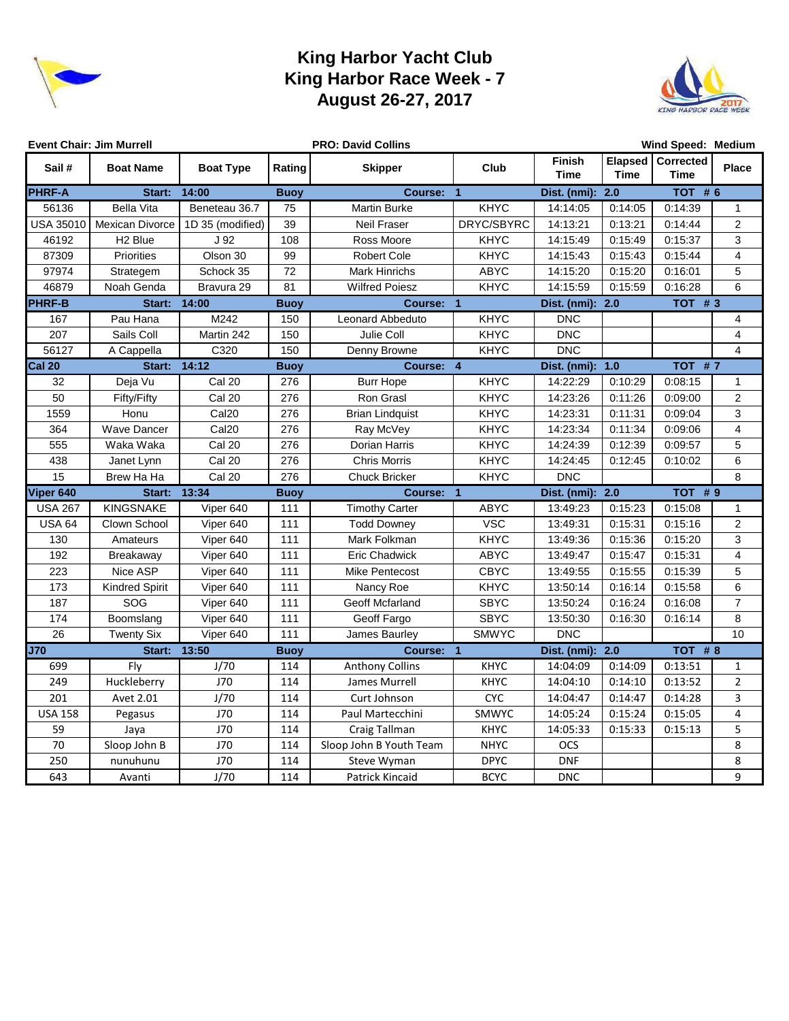

### **King Harbor Yacht Club King Harbor Race Week - 7 August 26-27, 2017**



|                  | <b>Event Chair: Jim Murrell</b> |                   |             | <b>PRO: David Collins</b> |              |                                             | Wind Speed: Medium |                                  |                         |
|------------------|---------------------------------|-------------------|-------------|---------------------------|--------------|---------------------------------------------|--------------------|----------------------------------|-------------------------|
| Sail#            | <b>Boat Name</b>                | <b>Boat Type</b>  | Rating      | <b>Skipper</b>            | <b>Club</b>  | <b>Finish</b><br><b>Time</b><br><b>Time</b> |                    | Elapsed Corrected<br><b>Time</b> | <b>Place</b>            |
| <b>PHRF-A</b>    | Start:                          | 14:00             | <b>Buoy</b> | Course: 1                 |              | Dist. (nmi):                                | 2.0                | <b>TOT #6</b>                    |                         |
| 56136            | <b>Bella Vita</b>               | Beneteau 36.7     | 75          | <b>Martin Burke</b>       | KHYC         | 14:14:05                                    | 0:14:05            | 0:14:39                          | $\mathbf{1}$            |
| <b>USA 35010</b> | <b>Mexican Divorce</b>          | 1D 35 (modified)  | 39          | Neil Fraser               | DRYC/SBYRC   | 14:13:21                                    | 0:13:21            | 0:14:44                          | $\mathbf{2}$            |
| 46192            | H <sub>2</sub> Blue             | J 92              | 108         | Ross Moore                | <b>KHYC</b>  | 14:15:49                                    | 0:15:49            | 0:15:37                          | 3                       |
| 87309            | Priorities                      | Olson 30          | 99          | <b>Robert Cole</b>        | <b>KHYC</b>  | 14:15:43                                    | 0:15:43            | 0:15:44                          | 4                       |
| 97974            | Strategem                       | Schock 35         | 72          | Mark Hinrichs             | ABYC         | 14:15:20                                    | 0:15:20            | 0:16:01                          | 5                       |
| 46879            | Noah Genda                      | Bravura 29        | 81          | <b>Wilfred Poiesz</b>     | <b>KHYC</b>  | 14:15:59                                    | 0:15:59            | 0:16:28                          | 6                       |
| <b>PHRF-B</b>    | Start:                          | 14:00             | <b>Buoy</b> | Course: 1                 |              | Dist. (nmi):                                | 2.0                | TOT $# 3$                        |                         |
| 167              | Pau Hana                        | M242              | 150         | Leonard Abbeduto          | <b>KHYC</b>  | <b>DNC</b>                                  |                    |                                  | 4                       |
| 207              | Sails Coll                      | Martin 242        | 150         | Julie Coll                | <b>KHYC</b>  | <b>DNC</b>                                  |                    |                                  | $\overline{\mathbf{4}}$ |
| 56127            | A Cappella                      | C320              | 150         | Denny Browne              | <b>KHYC</b>  | <b>DNC</b>                                  |                    |                                  | $\overline{4}$          |
| <b>Cal 20</b>    | <b>Start: 14:12</b>             |                   | <b>Buoy</b> | Course: 4                 |              | Dist. (nmi):                                | 1.0                | <b>TOT #7</b>                    |                         |
| $\overline{32}$  | Deja Vu                         | Cal 20            | 276         | <b>Burr Hope</b>          | KHYC         | 14:22:29                                    | 0:10:29            | 0:08:15                          | 1                       |
| 50               | Fifty/Fifty                     | <b>Cal 20</b>     | 276         | Ron Grasl                 | <b>KHYC</b>  | 14:23:26                                    | 0:11:26            | 0:09:00                          | $\mathbf{2}$            |
| 1559             | Honu                            | Cal <sub>20</sub> | 276         | <b>Brian Lindquist</b>    | <b>KHYC</b>  | 14:23:31                                    | 0:11:31            | 0:09:04                          | 3                       |
| 364              | <b>Wave Dancer</b>              | Cal <sub>20</sub> | 276         | Ray McVey                 | <b>KHYC</b>  | 14:23:34                                    | 0:11:34            | 0:09:06                          | 4                       |
| 555              | Waka Waka                       | Cal 20            | 276         | Dorian Harris             | <b>KHYC</b>  | 14:24:39                                    | 0:12:39            | 0:09:57                          | 5                       |
| 438              | Janet Lynn                      | <b>Cal 20</b>     | 276         | <b>Chris Morris</b>       | <b>KHYC</b>  | 14:24:45                                    | 0:12:45            | 0:10:02                          | 6                       |
| 15               | Brew Ha Ha                      | Cal 20            | 276         | <b>Chuck Bricker</b>      | <b>KHYC</b>  | <b>DNC</b>                                  |                    |                                  | 8                       |
| Viper 640        | Start:                          | 13:34             | <b>Buoy</b> | Course: 1                 |              | Dist. (nmi):                                | $\overline{2.0}$   | <b>TOT #9</b>                    |                         |
| <b>USA 267</b>   | <b>KINGSNAKE</b>                | Viper 640         | 111         | <b>Timothy Carter</b>     | <b>ABYC</b>  | 13:49:23                                    | 0:15:23            | 0:15:08                          | $\mathbf{1}$            |
| <b>USA 64</b>    | Clown School                    | Viper 640         | 111         | <b>Todd Downey</b>        | <b>VSC</b>   | 13:49:31                                    | 0:15:31            | 0:15:16                          | $\boldsymbol{2}$        |
| 130              | Amateurs                        | Viper 640         | 111         | Mark Folkman              | <b>KHYC</b>  | 13:49:36                                    | 0:15:36            | 0:15:20                          | 3                       |
| 192              | Breakaway                       | Viper 640         | 111         | <b>Eric Chadwick</b>      | ABYC         | 13:49:47                                    | 0:15:47            | 0:15:31                          | $\overline{\mathbf{4}}$ |
| 223              | Nice ASP                        | Viper 640         | 111         | Mike Pentecost            | <b>CBYC</b>  | 13:49:55                                    | 0:15:55            | 0:15:39                          | 5                       |
| 173              | <b>Kindred Spirit</b>           | Viper 640         | 111         | Nancy Roe                 | <b>KHYC</b>  | 13:50:14                                    | 0:16:14            | 0:15:58                          | 6                       |
| 187              | SOG                             | Viper 640         | 111         | Geoff Mcfarland           | <b>SBYC</b>  | 13:50:24                                    | 0:16:24            | 0:16:08                          | $\overline{7}$          |
| 174              | Boomslang                       | Viper 640         | 111         | Geoff Fargo               | <b>SBYC</b>  | 13:50:30                                    | 0:16:30            | 0:16:14                          | 8                       |
| 26               | <b>Twenty Six</b>               | Viper 640         | 111         | James Baurley             | <b>SMWYC</b> | <b>DNC</b>                                  |                    |                                  | 10                      |
| <b>J70</b>       | Start:                          | 13:50             | <b>Buoy</b> | Course: 1                 |              | Dist. (nmi):                                | 2.0                | <b>TOT #8</b>                    |                         |
| 699              | Fly                             | J/70              | 114         | <b>Anthony Collins</b>    | <b>KHYC</b>  | 14:04:09                                    | 0:14:09            | 0:13:51                          | $\mathbf{1}$            |
| 249              | Huckleberry                     | <b>J70</b>        | 114         | James Murrell             | <b>KHYC</b>  | 14:04:10                                    | 0:14:10            | 0:13:52                          | $\overline{2}$          |
| 201              | Avet 2.01                       | J/70              | 114         | Curt Johnson              | <b>CYC</b>   | 14:04:47                                    | 0:14:47            | 0:14:28                          | 3                       |
| <b>USA 158</b>   | Pegasus                         | <b>J70</b>        | 114         | Paul Martecchini          | SMWYC        | 14:05:24                                    | 0:15:24            | 0:15:05                          | 4                       |
| 59               | Jaya                            | J70               | 114         | Craig Tallman             | KHYC         | 14:05:33                                    | 0:15:33            | 0:15:13                          | 5                       |
| 70               | Sloop John B                    | <b>J70</b>        | 114         | Sloop John B Youth Team   | <b>NHYC</b>  | OCS                                         |                    |                                  | 8                       |
| 250              | nunuhunu                        | J70               | 114         | Steve Wyman               | <b>DPYC</b>  | <b>DNF</b>                                  |                    |                                  | 8                       |
| 643              | Avanti                          | J/70              | 114         | Patrick Kincaid           | <b>BCYC</b>  | <b>DNC</b>                                  |                    |                                  | 9                       |